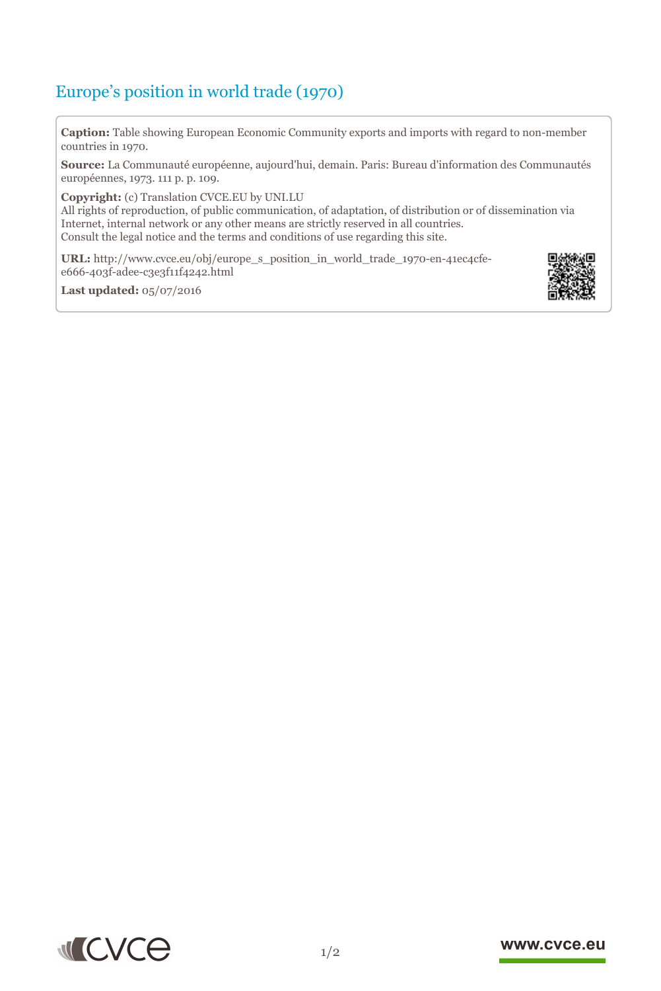## Europe's position in world trade (1970)

**Caption:** Table showing European Economic Community exports and imports with regard to non-member countries in 1970.

**Source:** La Communauté européenne, aujourd'hui, demain. Paris: Bureau d'information des Communautés européennes, 1973. 111 p. p. 109.

**Copyright:** (c) Translation CVCE.EU by UNI.LU

All rights of reproduction, of public communication, of adaptation, of distribution or of dissemination via Internet, internal network or any other means are strictly reserved in all countries. Consult the legal notice and the terms and conditions of use regarding this site.

**URL:** http://www.cvce.eu/obj/europe\_s\_position\_in\_world\_trade\_1970-en-41ec4cfee666-403[f-adee-c3e3f11f4242.html](http://www.cvce.eu/obj/europe_s_position_in_world_trade_1970-en-41ec4cfe-e666-403f-adee-c3e3f11f4242.html)

**Las[t updated:](http://www.cvce.eu/obj/europe_s_position_in_world_trade_1970-en-41ec4cfe-e666-403f-adee-c3e3f11f4242.html)** 05/07/2016





## www.cvce.eu